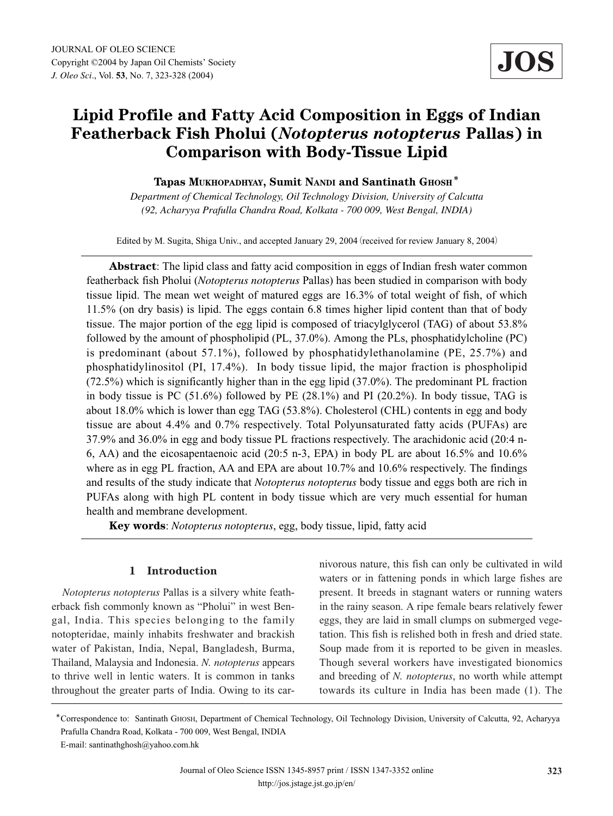# **Lipid Profile and Fatty Acid Composition in Eggs of Indian Featherback Fish Pholui (***Notopterus notopterus* **Pallas) in Comparison with Body-Tissue Lipid**

## **Tapas MUKHOPADHYAY, Sumit NANDI and Santinath GHOSH**\*

*Department of Chemical Technology, Oil Technology Division, University of Calcutta (92, Acharyya Prafulla Chandra Road, Kolkata - 700 009, West Bengal, INDIA)*

Edited by M. Sugita, Shiga Univ., and accepted January 29, 2004 (received for review January 8, 2004)

**Abstract**: The lipid class and fatty acid composition in eggs of Indian fresh water common featherback fish Pholui (*Notopterus notopterus* Pallas) has been studied in comparison with body tissue lipid. The mean wet weight of matured eggs are 16.3% of total weight of fish, of which 11.5% (on dry basis) is lipid. The eggs contain 6.8 times higher lipid content than that of body tissue. The major portion of the egg lipid is composed of triacylglycerol (TAG) of about 53.8% followed by the amount of phospholipid (PL, 37.0%). Among the PLs, phosphatidylcholine (PC) is predominant (about 57.1%), followed by phosphatidylethanolamine (PE, 25.7%) and phosphatidylinositol (PI, 17.4%). In body tissue lipid, the major fraction is phospholipid (72.5%) which is significantly higher than in the egg lipid (37.0%). The predominant PL fraction in body tissue is PC (51.6%) followed by PE (28.1%) and PI (20.2%). In body tissue, TAG is about 18.0% which is lower than egg TAG (53.8%). Cholesterol (CHL) contents in egg and body tissue are about 4.4% and 0.7% respectively. Total Polyunsaturated fatty acids (PUFAs) are 37.9% and 36.0% in egg and body tissue PL fractions respectively. The arachidonic acid (20:4 n-6, AA) and the eicosapentaenoic acid (20:5 n-3, EPA) in body PL are about 16.5% and 10.6% where as in egg PL fraction, AA and EPA are about 10.7% and 10.6% respectively. The findings and results of the study indicate that *Notopterus notopterus* body tissue and eggs both are rich in PUFAs along with high PL content in body tissue which are very much essential for human health and membrane development.

**Key words**: *Notopterus notopterus*, egg, body tissue, lipid, fatty acid

# **1 Introduction**

*Notopterus notopterus* Pallas is a silvery white featherback fish commonly known as "Pholui" in west Bengal, India. This species belonging to the family notopteridae, mainly inhabits freshwater and brackish water of Pakistan, India, Nepal, Bangladesh, Burma, Thailand, Malaysia and Indonesia. *N. notopterus* appears to thrive well in lentic waters. It is common in tanks throughout the greater parts of India. Owing to its carnivorous nature, this fish can only be cultivated in wild waters or in fattening ponds in which large fishes are present. It breeds in stagnant waters or running waters in the rainy season. A ripe female bears relatively fewer eggs, they are laid in small clumps on submerged vegetation. This fish is relished both in fresh and dried state. Soup made from it is reported to be given in measles. Though several workers have investigated bionomics and breeding of *N. notopterus*, no worth while attempt towards its culture in India has been made (1). The

<sup>\*</sup>Correspondence to: Santinath GHOSH, Department of Chemical Technology, Oil Technology Division, University of Calcutta, 92, Acharyya Prafulla Chandra Road, Kolkata - 700 009, West Bengal, INDIA E-mail: santinathghosh@yahoo.com.hk

Journal of Oleo Science ISSN 1345-8957 print / ISSN 1347-3352 online http://jos.jstage.jst.go.jp/en/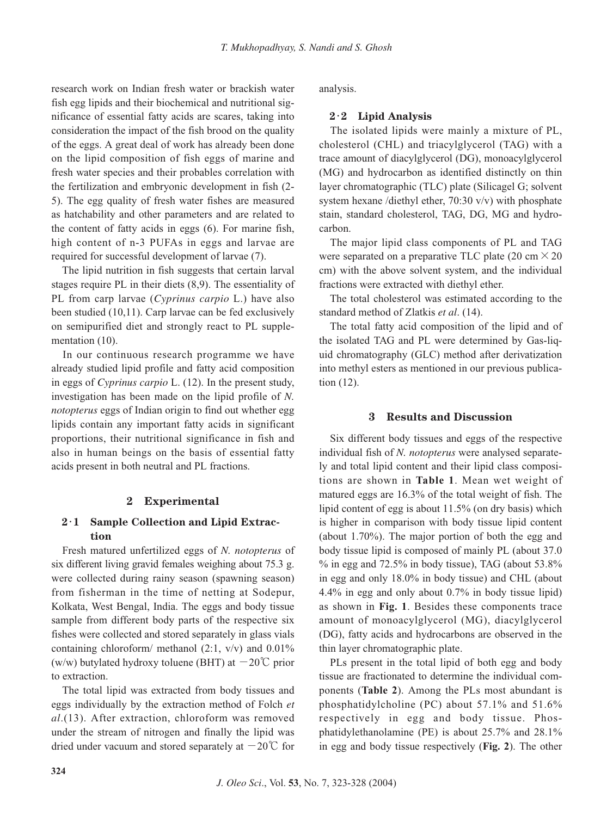research work on Indian fresh water or brackish water fish egg lipids and their biochemical and nutritional significance of essential fatty acids are scares, taking into consideration the impact of the fish brood on the quality of the eggs. A great deal of work has already been done on the lipid composition of fish eggs of marine and fresh water species and their probables correlation with the fertilization and embryonic development in fish (2- 5). The egg quality of fresh water fishes are measured as hatchability and other parameters and are related to the content of fatty acids in eggs (6). For marine fish, high content of n-3 PUFAs in eggs and larvae are required for successful development of larvae (7).

The lipid nutrition in fish suggests that certain larval stages require PL in their diets (8,9). The essentiality of PL from carp larvae (*Cyprinus carpio* L.) have also been studied (10,11). Carp larvae can be fed exclusively on semipurified diet and strongly react to PL supplementation (10).

In our continuous research programme we have already studied lipid profile and fatty acid composition in eggs of *Cyprinus carpio* L. (12). In the present study, investigation has been made on the lipid profile of *N. notopterus* eggs of Indian origin to find out whether egg lipids contain any important fatty acids in significant proportions, their nutritional significance in fish and also in human beings on the basis of essential fatty acids present in both neutral and PL fractions.

### **2 Experimental**

# **2**・**1 Sample Collection and Lipid Extraction**

Fresh matured unfertilized eggs of *N. notopterus* of six different living gravid females weighing about 75.3 g. were collected during rainy season (spawning season) from fisherman in the time of netting at Sodepur, Kolkata, West Bengal, India. The eggs and body tissue sample from different body parts of the respective six fishes were collected and stored separately in glass vials containing chloroform/ methanol  $(2:1, v/v)$  and  $0.01\%$ (w/w) butylated hydroxy toluene (BHT) at  $-20^{\circ}$ C prior to extraction.

The total lipid was extracted from body tissues and eggs individually by the extraction method of Folch *et al*.(13). After extraction, chloroform was removed under the stream of nitrogen and finally the lipid was dried under vacuum and stored separately at  $-20^{\circ}$  for analysis.

#### **2**・**2 Lipid Analysis**

The isolated lipids were mainly a mixture of PL, cholesterol (CHL) and triacylglycerol (TAG) with a trace amount of diacylglycerol (DG), monoacylglycerol (MG) and hydrocarbon as identified distinctly on thin layer chromatographic (TLC) plate (Silicagel G; solvent system hexane /diethyl ether, 70:30 v/v) with phosphate stain, standard cholesterol, TAG, DG, MG and hydrocarbon.

The major lipid class components of PL and TAG were separated on a preparative TLC plate (20 cm  $\times$  20 cm) with the above solvent system, and the individual fractions were extracted with diethyl ether.

The total cholesterol was estimated according to the standard method of Zlatkis *et al*. (14).

The total fatty acid composition of the lipid and of the isolated TAG and PL were determined by Gas-liquid chromatography (GLC) method after derivatization into methyl esters as mentioned in our previous publication (12).

#### **3 Results and Discussion**

Six different body tissues and eggs of the respective individual fish of *N. notopterus* were analysed separately and total lipid content and their lipid class compositions are shown in **Table 1**. Mean wet weight of matured eggs are 16.3% of the total weight of fish. The lipid content of egg is about 11.5% (on dry basis) which is higher in comparison with body tissue lipid content (about 1.70%). The major portion of both the egg and body tissue lipid is composed of mainly PL (about 37.0  $\%$  in egg and 72.5% in body tissue), TAG (about 53.8%) in egg and only 18.0% in body tissue) and CHL (about 4.4% in egg and only about 0.7% in body tissue lipid) as shown in **Fig. 1**. Besides these components trace amount of monoacylglycerol (MG), diacylglycerol (DG), fatty acids and hydrocarbons are observed in the thin layer chromatographic plate.

PLs present in the total lipid of both egg and body tissue are fractionated to determine the individual components (**Table 2**). Among the PLs most abundant is phosphatidylcholine (PC) about 57.1% and 51.6% respectively in egg and body tissue. Phosphatidylethanolamine (PE) is about 25.7% and 28.1% in egg and body tissue respectively (**Fig. 2**). The other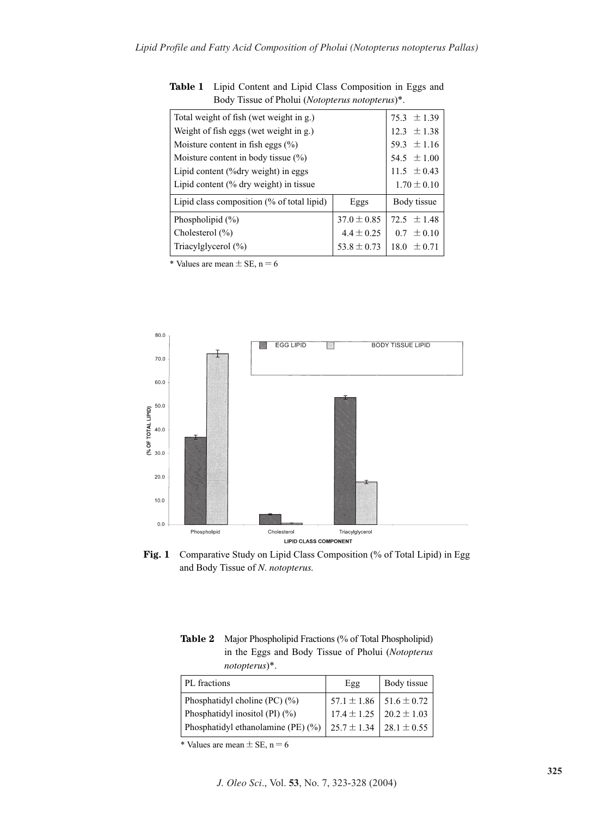| Total weight of fish (wet weight in g.)    | $75.3 \pm 1.39$ |                    |  |
|--------------------------------------------|-----------------|--------------------|--|
| Weight of fish eggs (wet weight in g.)     | $12.3 \pm 1.38$ |                    |  |
| Moisture content in fish eggs $(\%)$       | 59.3 $\pm$ 1.16 |                    |  |
| Moisture content in body tissue $(\%)$     | 54.5 $\pm 1.00$ |                    |  |
| Lipid content $(\%$ dry weight) in eggs    | $11.5 \pm 0.43$ |                    |  |
| Lipid content $(\%$ dry weight) in tissue  | $1.70 \pm 0.10$ |                    |  |
| Lipid class composition (% of total lipid) | Eggs            | Body tissue        |  |
| Phospholipid $(\% )$                       | $37.0 \pm 0.85$ | $72.5 + 1.48$      |  |
| Cholesterol $(\% )$                        | $4.4 \pm 0.25$  | $0.7 \pm 0.10$     |  |
| Triacylglycerol $(\% )$                    | $53.8 \pm 0.73$ | $\pm 0.71$<br>18.0 |  |
|                                            |                 |                    |  |

**Table 1** Lipid Content and Lipid Class Composition in Eggs and Body Tissue of Pholui (*Notopterus notopterus*)\*.

\* Values are mean  $\pm$  SE, n = 6



Fig. 1 Comparative Study on Lipid Class Composition (% of Total Lipid) in Egg and Body Tissue of *N*. *notopterus.*

**Table 2** Major Phospholipid Fractions (% of Total Phospholipid) in the Eggs and Body Tissue of Pholui (*Notopterus notopterus*)\*.

| PL fractions                       | Egg                               | Body tissue                       |
|------------------------------------|-----------------------------------|-----------------------------------|
| Phosphatidyl choline $(PC)$ $(\%)$ |                                   | $57.1 \pm 1.86$   $51.6 \pm 0.72$ |
| Phosphatidyl inositol (PI) $(\% )$ |                                   | $17.4 \pm 1.25$   20.2 $\pm$ 1.03 |
| Phosphatidyl ethanolamine (PE) (%) | 25.7 $\pm$ 1.34   28.1 $\pm$ 0.55 |                                   |

\* Values are mean  $\pm$  SE, n = 6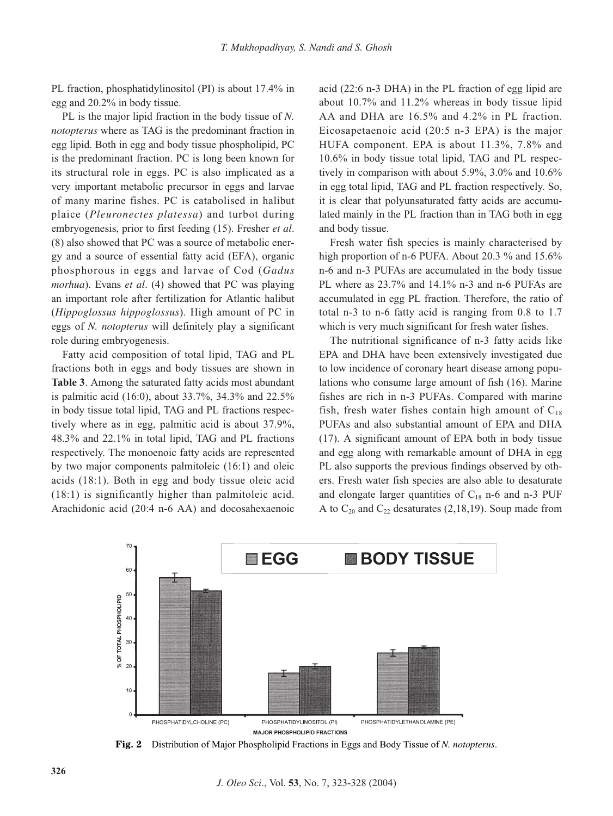PL fraction, phosphatidylinositol (PI) is about 17.4% in egg and 20.2% in body tissue.

PL is the major lipid fraction in the body tissue of *N. notopterus* where as TAG is the predominant fraction in egg lipid. Both in egg and body tissue phospholipid, PC is the predominant fraction. PC is long been known for its structural role in eggs. PC is also implicated as a very important metabolic precursor in eggs and larvae of many marine fishes. PC is catabolised in halibut plaice (*Pleuronectes platessa*) and turbot during embryogenesis, prior to first feeding (15). Fresher *et al*. (8) also showed that PC was a source of metabolic energy and a source of essential fatty acid (EFA), organic phosphorous in eggs and larvae of Cod (*Gadus morhua*). Evans *et al*. (4) showed that PC was playing an important role after fertilization for Atlantic halibut (*Hippoglossus hippoglossus*). High amount of PC in eggs of *N. notopterus* will definitely play a significant role during embryogenesis.

Fatty acid composition of total lipid, TAG and PL fractions both in eggs and body tissues are shown in **Table 3**. Among the saturated fatty acids most abundant is palmitic acid (16:0), about 33.7%, 34.3% and 22.5% in body tissue total lipid, TAG and PL fractions respectively where as in egg, palmitic acid is about 37.9%, 48.3% and 22.1% in total lipid, TAG and PL fractions respectively. The monoenoic fatty acids are represented by two major components palmitoleic (16:1) and oleic acids (18:1). Both in egg and body tissue oleic acid (18:1) is significantly higher than palmitoleic acid. Arachidonic acid (20:4 n-6 AA) and docosahexaenoic

acid (22:6 n-3 DHA) in the PL fraction of egg lipid are about 10.7% and 11.2% whereas in body tissue lipid AA and DHA are 16.5% and 4.2% in PL fraction. Eicosapetaenoic acid (20:5 n-3 EPA) is the major HUFA component. EPA is about 11.3%, 7.8% and 10.6% in body tissue total lipid, TAG and PL respectively in comparison with about 5.9%, 3.0% and 10.6% in egg total lipid, TAG and PL fraction respectively. So, it is clear that polyunsaturated fatty acids are accumulated mainly in the PL fraction than in TAG both in egg and body tissue.

Fresh water fish species is mainly characterised by high proportion of n-6 PUFA. About 20.3 % and 15.6% n-6 and n-3 PUFAs are accumulated in the body tissue PL where as  $23.7\%$  and  $14.1\%$  n-3 and n-6 PUFAs are accumulated in egg PL fraction. Therefore, the ratio of total n-3 to n-6 fatty acid is ranging from 0.8 to 1.7 which is very much significant for fresh water fishes.

The nutritional significance of n-3 fatty acids like EPA and DHA have been extensively investigated due to low incidence of coronary heart disease among populations who consume large amount of fish (16). Marine fishes are rich in n-3 PUFAs. Compared with marine fish, fresh water fishes contain high amount of  $C_{18}$ PUFAs and also substantial amount of EPA and DHA (17). A significant amount of EPA both in body tissue and egg along with remarkable amount of DHA in egg PL also supports the previous findings observed by others. Fresh water fish species are also able to desaturate and elongate larger quantities of  $C_{18}$  n-6 and n-3 PUF A to  $C_{20}$  and  $C_{22}$  desaturates (2,18,19). Soup made from



**Fig. 2** Distribution of Major Phospholipid Fractions in Eggs and Body Tissue of *N. notopterus*.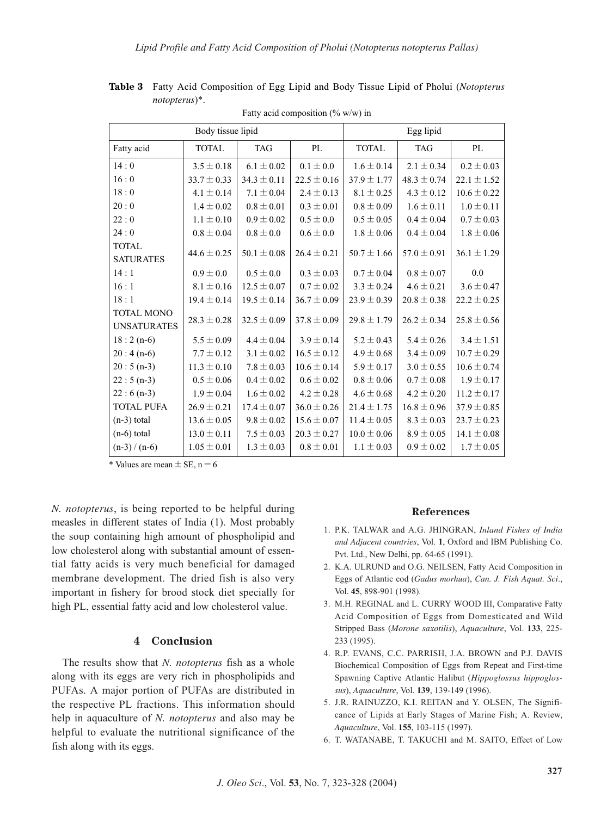| Body tissue lipid                       |                 |                 | Egg lipid       |                 |                 |                 |
|-----------------------------------------|-----------------|-----------------|-----------------|-----------------|-----------------|-----------------|
| Fatty acid                              | <b>TOTAL</b>    | <b>TAG</b>      | PL              | <b>TOTAL</b>    | <b>TAG</b>      | PL              |
| 14:0                                    | $3.5 \pm 0.18$  | $6.1 \pm 0.02$  | $0.1 \pm 0.0$   | $1.6 \pm 0.14$  | $2.1 \pm 0.34$  | $0.2 \pm 0.03$  |
| 16:0                                    | $33.7 \pm 0.33$ | $34.3 \pm 0.11$ | $22.5 \pm 0.16$ | $37.9 \pm 1.77$ | $48.3 \pm 0.74$ | $22.1 \pm 1.52$ |
| 18:0                                    | $4.1 \pm 0.14$  | $7.1 \pm 0.04$  | $2.4 \pm 0.13$  | $8.1 \pm 0.25$  | $4.3 \pm 0.12$  | $10.6 \pm 0.22$ |
| 20:0                                    | $1.4 \pm 0.02$  | $0.8 \pm 0.01$  | $0.3 \pm 0.01$  | $0.8 \pm 0.09$  | $1.6 \pm 0.11$  | $1.0 \pm 0.11$  |
| 22:0                                    | $1.1 \pm 0.10$  | $0.9 \pm 0.02$  | $0.5 \pm 0.0$   | $0.5 \pm 0.05$  | $0.4 \pm 0.04$  | $0.7 \pm 0.03$  |
| 24:0                                    | $0.8 \pm 0.04$  | $0.8 \pm 0.0$   | $0.6 \pm 0.0$   | $1.8 \pm 0.06$  | $0.4 \pm 0.04$  | $1.8 \pm 0.06$  |
| <b>TOTAL</b><br><b>SATURATES</b>        | $44.6 \pm 0.25$ | $50.1 \pm 0.08$ | $26.4 \pm 0.21$ | $50.7 \pm 1.66$ | $57.0 \pm 0.91$ | $36.1 \pm 1.29$ |
| 14:1                                    | $0.9 \pm 0.0$   | $0.5 \pm 0.0$   | $0.3 \pm 0.03$  | $0.7 \pm 0.04$  | $0.8 \pm 0.07$  | 0.0             |
| 16:1                                    | $8.1 \pm 0.16$  | $12.5 \pm 0.07$ | $0.7 \pm 0.02$  | $3.3 \pm 0.24$  | $4.6 \pm 0.21$  | $3.6 \pm 0.47$  |
| 18:1                                    | $19.4 \pm 0.14$ | $19.5 \pm 0.14$ | $36.7 \pm 0.09$ | $23.9 \pm 0.39$ | $20.8 \pm 0.38$ | $22.2 \pm 0.25$ |
| <b>TOTAL MONO</b><br><b>UNSATURATES</b> | $28.3 \pm 0.28$ | $32.5 \pm 0.09$ | $37.8 \pm 0.09$ | $29.8 \pm 1.79$ | $26.2 \pm 0.34$ | $25.8 \pm 0.56$ |
| $18:2(n-6)$                             | $5.5 \pm 0.09$  | $4.4 \pm 0.04$  | $3.9 \pm 0.14$  | $5.2 \pm 0.43$  | $5.4 \pm 0.26$  | $3.4 \pm 1.51$  |
| $20:4(n-6)$                             | $7.7 \pm 0.12$  | $3.1 \pm 0.02$  | $16.5 \pm 0.12$ | $4.9 \pm 0.68$  | $3.4 \pm 0.09$  | $10.7 \pm 0.29$ |
| $20:5(n-3)$                             | $11.3 \pm 0.10$ | $7.8 \pm 0.03$  | $10.6 \pm 0.14$ | $5.9 \pm 0.17$  | $3.0 \pm 0.55$  | $10.6 \pm 0.74$ |
| $22:5(n-3)$                             | $0.5 \pm 0.06$  | $0.4 \pm 0.02$  | $0.6 \pm 0.02$  | $0.8 \pm 0.06$  | $0.7 \pm 0.08$  | $1.9 \pm 0.17$  |
| $22:6(n-3)$                             | $1.9 \pm 0.04$  | $1.6 \pm 0.02$  | $4.2 \pm 0.28$  | $4.6 \pm 0.68$  | $4.2 \pm 0.20$  | $11.2 \pm 0.17$ |
| <b>TOTAL PUFA</b>                       | $26.9 \pm 0.21$ | $17.4 \pm 0.07$ | $36.0 \pm 0.26$ | $21.4 \pm 1.75$ | $16.8 \pm 0.96$ | $37.9 \pm 0.85$ |
| $(n-3)$ total                           | $13.6 \pm 0.05$ | $9.8 \pm 0.02$  | $15.6 \pm 0.07$ | $11.4 \pm 0.05$ | $8.3 \pm 0.03$  | $23.7 \pm 0.23$ |
| $(n-6)$ total                           | $13.0 \pm 0.11$ | $7.5 \pm 0.03$  | $20.3 \pm 0.27$ | $10.0 \pm 0.06$ | $8.9 \pm 0.05$  | $14.1 \pm 0.08$ |
| $(n-3)/(n-6)$                           | $1.05 \pm 0.01$ | $1.3 \pm 0.03$  | $0.8 \pm 0.01$  | $1.1 \pm 0.03$  | $0.9 \pm 0.02$  | $1.7 \pm 0.05$  |

Fatty acid composition  $(\% w/w)$  in **Table 3** Fatty Acid Composition of Egg Lipid and Body Tissue Lipid of Pholui (*Notopterus notopterus*)\*.

\* Values are mean  $\pm$  SE, n = 6

*N. notopterus*, is being reported to be helpful during measles in different states of India (1). Most probably the soup containing high amount of phospholipid and low cholesterol along with substantial amount of essential fatty acids is very much beneficial for damaged membrane development. The dried fish is also very important in fishery for brood stock diet specially for high PL, essential fatty acid and low cholesterol value.

## **4 Conclusion**

The results show that *N. notopterus* fish as a whole along with its eggs are very rich in phospholipids and PUFAs. A major portion of PUFAs are distributed in the respective PL fractions. This information should help in aquaculture of *N. notopterus* and also may be helpful to evaluate the nutritional significance of the fish along with its eggs.

### **References**

- 1. P.K. TALWAR and A.G. JHINGRAN, *Inland Fishes of India and Adjacent countries*, Vol. **1**, Oxford and IBM Publishing Co. Pvt. Ltd., New Delhi, pp. 64-65 (1991).
- 2. K.A. ULRUND and O.G. NEILSEN, Fatty Acid Composition in Eggs of Atlantic cod (*Gadus morhua*), *Can. J. Fish Aquat. Sci*., Vol. **45**, 898-901 (1998).
- 3. M.H. REGINAL and L. CURRY WOOD III, Comparative Fatty Acid Composition of Eggs from Domesticated and Wild Stripped Bass (*Morone saxotilis*), *Aquaculture*, Vol. **133**, 225- 233 (1995).
- 4. R.P. EVANS, C.C. PARRISH, J.A. BROWN and P.J. DAVIS Biochemical Composition of Eggs from Repeat and First-time Spawning Captive Atlantic Halibut (*Hippoglossus hippoglossus*), *Aquaculture*, Vol. **139**, 139-149 (1996).
- 5. J.R. RAINUZZO, K.I. REITAN and Y. OLSEN, The Significance of Lipids at Early Stages of Marine Fish; A. Review, *Aquaculture*, Vol. **155**, 103-115 (1997).
- 6. T. WATANABE, T. TAKUCHI and M. SAITO, Effect of Low